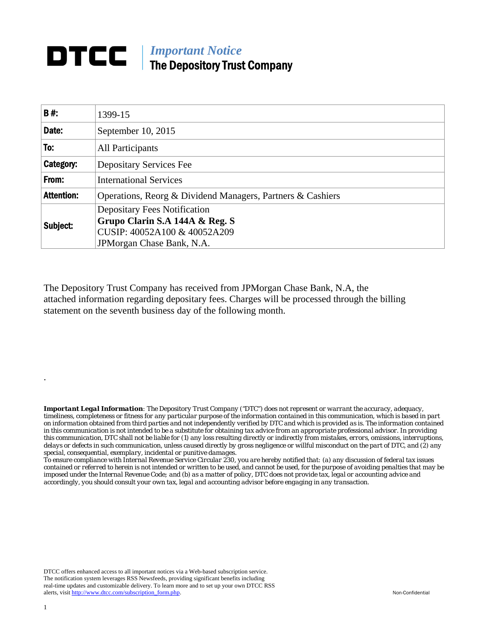## **DTCC** | *Important Notice* The Depository Trust Company

| B#:               | 1399-15                                                        |  |  |  |  |  |
|-------------------|----------------------------------------------------------------|--|--|--|--|--|
| Date:             | September 10, 2015                                             |  |  |  |  |  |
| To:               | All Participants                                               |  |  |  |  |  |
| Category:         | <b>Depositary Services Fee</b>                                 |  |  |  |  |  |
| From:             | <b>International Services</b>                                  |  |  |  |  |  |
| <b>Attention:</b> | Operations, Reorg & Dividend Managers, Partners & Cashiers     |  |  |  |  |  |
| Subject:          | <b>Depositary Fees Notification</b>                            |  |  |  |  |  |
|                   | Grupo Clarin S.A 144A & Reg. S<br>CUSIP: 40052A100 & 40052A209 |  |  |  |  |  |
|                   | JPM organ Chase Bank, N.A.                                     |  |  |  |  |  |

The Depository Trust Company has received from JPMorgan Chase Bank, N.A, the attached information regarding depositary fees. Charges will be processed through the billing statement on the seventh business day of the following month.

*Important Legal Information: The Depository Trust Company ("DTC") does not represent or warrant the accuracy, adequacy, timeliness, completeness or fitness for any particular purpose of the information contained in this communication, which is based in part on information obtained from third parties and not independently verified by DTC and which is provided as is. The information contained in this communication is not intended to be a substitute for obtaining tax advice from an appropriate professional advisor. In providing this communication, DTC shall not be liable for (1) any loss resulting directly or indirectly from mistakes, errors, omissions, interruptions, delays or defects in such communication, unless caused directly by gross negligence or willful misconduct on the part of DTC, and (2) any special, consequential, exemplary, incidental or punitive damages.* 

*To ensure compliance with Internal Revenue Service Circular 230, you are hereby notified that: (a) any discussion of federal tax issues contained or referred to herein is not intended or written to be used, and cannot be used, for the purpose of avoiding penalties that may be imposed under the Internal Revenue Code; and (b) as a matter of policy, DTC does not provide tax, legal or accounting advice and accordingly, you should consult your own tax, legal and accounting advisor before engaging in any transaction.*

DTCC offers enhanced access to all important notices via a Web-based subscription service. The notification system leverages RSS Newsfeeds, providing significant benefits including real-time updates and customizable delivery. To learn more and to set up your own DTCC RSS alerts, visit http://www.dtcc.com/subscription\_form.php. Non-Confidential

.